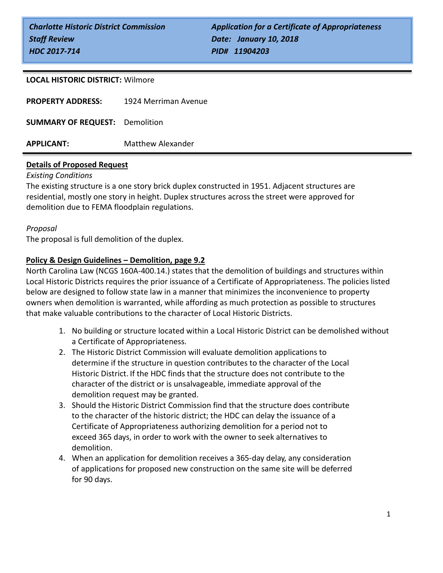#### **LOCAL HISTORIC DISTRICT:** Wilmore

| <b>APPLICANT:</b>                     | <b>Matthew Alexander</b> |
|---------------------------------------|--------------------------|
| <b>SUMMARY OF REQUEST:</b> Demolition |                          |
| <b>PROPERTY ADDRESS:</b>              | 1924 Merriman Avenue     |

## **Details of Proposed Request**

#### *Existing Conditions*

The existing structure is a one story brick duplex constructed in 1951. Adjacent structures are residential, mostly one story in height. Duplex structures across the street were approved for demolition due to FEMA floodplain regulations.

#### *Proposal*

The proposal is full demolition of the duplex.

### **Policy & Design Guidelines – Demolition, page 9.2**

North Carolina Law (NCGS 160A-400.14.) states that the demolition of buildings and structures within Local Historic Districts requires the prior issuance of a Certificate of Appropriateness. The policies listed below are designed to follow state law in a manner that minimizes the inconvenience to property owners when demolition is warranted, while affording as much protection as possible to structures that make valuable contributions to the character of Local Historic Districts.

- 1. No building or structure located within a Local Historic District can be demolished without a Certificate of Appropriateness.
- 2. The Historic District Commission will evaluate demolition applications to determine if the structure in question contributes to the character of the Local Historic District. If the HDC finds that the structure does not contribute to the character of the district or is unsalvageable, immediate approval of the demolition request may be granted.
- 3. Should the Historic District Commission find that the structure does contribute to the character of the historic district; the HDC can delay the issuance of a Certificate of Appropriateness authorizing demolition for a period not to exceed 365 days, in order to work with the owner to seek alternatives to demolition.
- 4. When an application for demolition receives a 365-day delay, any consideration of applications for proposed new construction on the same site will be deferred for 90 days.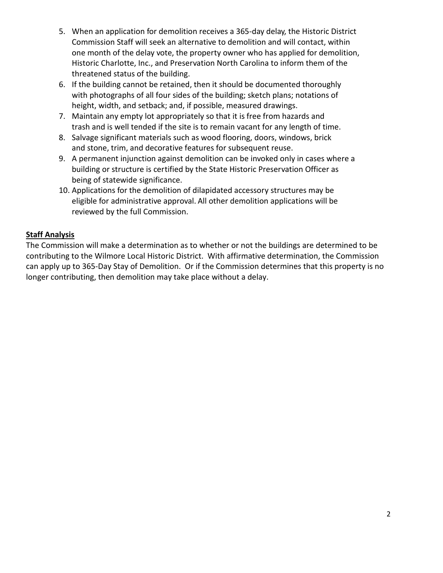- 5. When an application for demolition receives a 365-day delay, the Historic District Commission Staff will seek an alternative to demolition and will contact, within one month of the delay vote, the property owner who has applied for demolition, Historic Charlotte, Inc., and Preservation North Carolina to inform them of the threatened status of the building.
- 6. If the building cannot be retained, then it should be documented thoroughly with photographs of all four sides of the building; sketch plans; notations of height, width, and setback; and, if possible, measured drawings.
- 7. Maintain any empty lot appropriately so that it is free from hazards and trash and is well tended if the site is to remain vacant for any length of time.
- 8. Salvage significant materials such as wood flooring, doors, windows, brick and stone, trim, and decorative features for subsequent reuse.
- 9. A permanent injunction against demolition can be invoked only in cases where a building or structure is certified by the State Historic Preservation Officer as being of statewide significance.
- 10. Applications for the demolition of dilapidated accessory structures may be eligible for administrative approval. All other demolition applications will be reviewed by the full Commission.

# **Staff Analysis**

The Commission will make a determination as to whether or not the buildings are determined to be contributing to the Wilmore Local Historic District. With affirmative determination, the Commission can apply up to 365-Day Stay of Demolition. Or if the Commission determines that this property is no longer contributing, then demolition may take place without a delay.